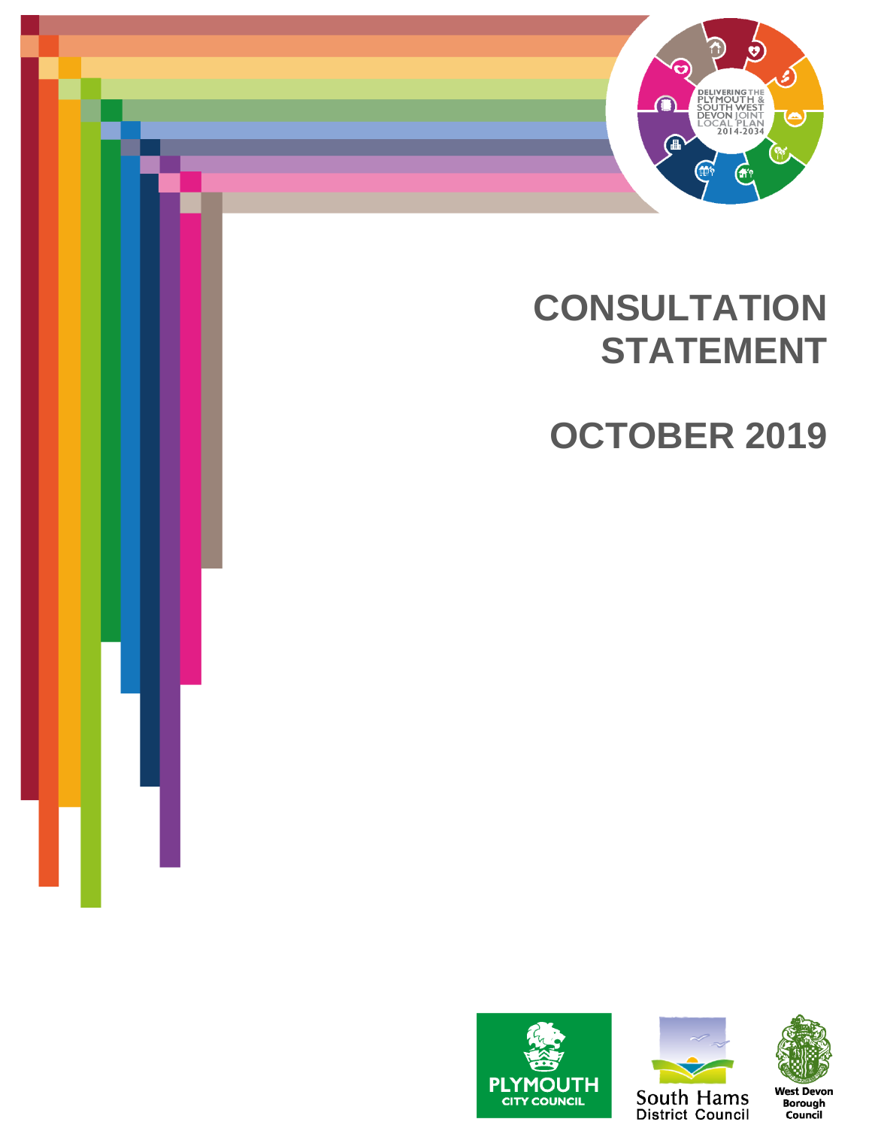

# **CONSULTATION STATEMENT**

**OCTOBER 2019**







Borough<br>Council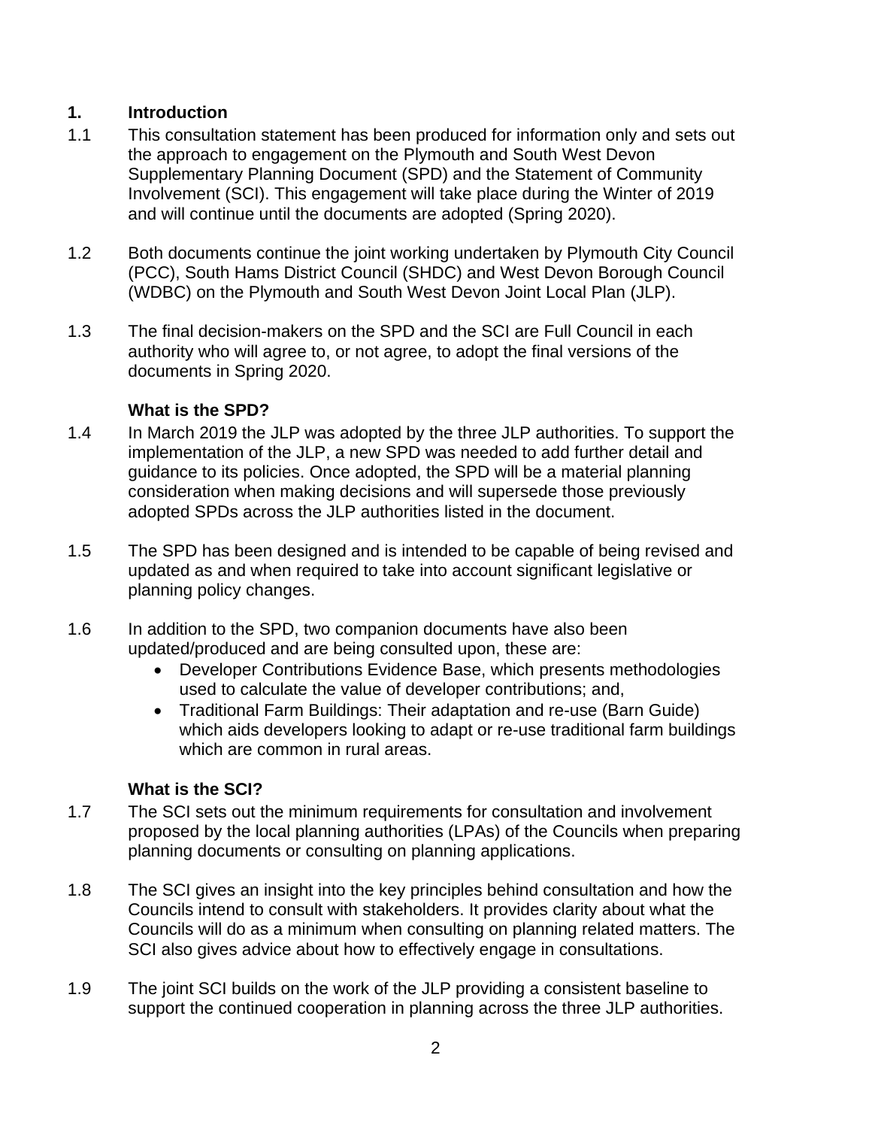## **1. Introduction**

- 1.1 This consultation statement has been produced for information only and sets out the approach to engagement on the Plymouth and South West Devon Supplementary Planning Document (SPD) and the Statement of Community Involvement (SCI). This engagement will take place during the Winter of 2019 and will continue until the documents are adopted (Spring 2020).
- 1.2 Both documents continue the joint working undertaken by Plymouth City Council (PCC), South Hams District Council (SHDC) and West Devon Borough Council (WDBC) on the Plymouth and South West Devon Joint Local Plan (JLP).
- 1.3 The final decision-makers on the SPD and the SCI are Full Council in each authority who will agree to, or not agree, to adopt the final versions of the documents in Spring 2020.

## **What is the SPD?**

- 1.4 In March 2019 the JLP was adopted by the three JLP authorities. To support the implementation of the JLP, a new SPD was needed to add further detail and guidance to its policies. Once adopted, the SPD will be a material planning consideration when making decisions and will supersede those previously adopted SPDs across the JLP authorities listed in the document.
- 1.5 The SPD has been designed and is intended to be capable of being revised and updated as and when required to take into account significant legislative or planning policy changes.
- 1.6 In addition to the SPD, two companion documents have also been updated/produced and are being consulted upon, these are:
	- Developer Contributions Evidence Base, which presents methodologies used to calculate the value of developer contributions; and,
	- Traditional Farm Buildings: Their adaptation and re-use (Barn Guide) which aids developers looking to adapt or re-use traditional farm buildings which are common in rural areas.

## **What is the SCI?**

- 1.7 The SCI sets out the minimum requirements for consultation and involvement proposed by the local planning authorities (LPAs) of the Councils when preparing planning documents or consulting on planning applications.
- 1.8 The SCI gives an insight into the key principles behind consultation and how the Councils intend to consult with stakeholders. It provides clarity about what the Councils will do as a minimum when consulting on planning related matters. The SCI also gives advice about how to effectively engage in consultations.
- 1.9 The joint SCI builds on the work of the JLP providing a consistent baseline to support the continued cooperation in planning across the three JLP authorities.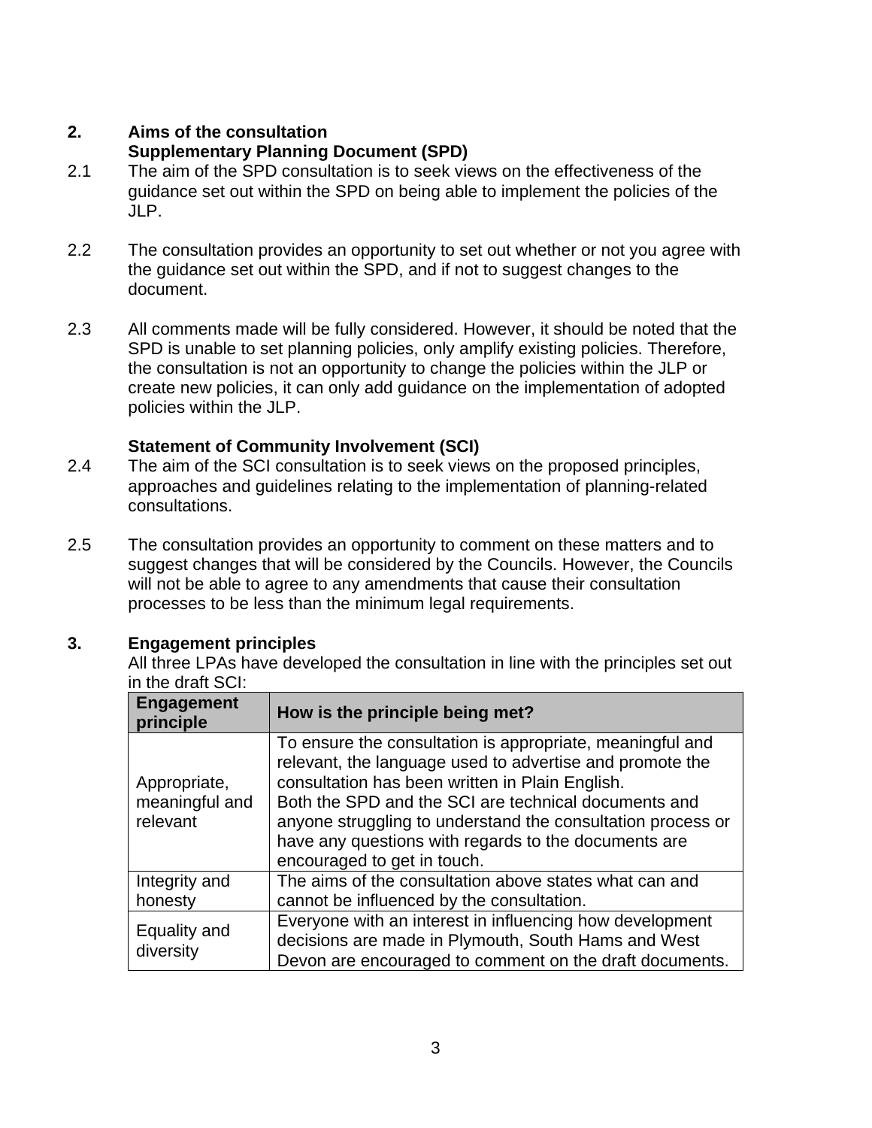## **2. Aims of the consultation**

# **Supplementary Planning Document (SPD)**

- 2.1 The aim of the SPD consultation is to seek views on the effectiveness of the guidance set out within the SPD on being able to implement the policies of the JLP.
- 2.2 The consultation provides an opportunity to set out whether or not you agree with the guidance set out within the SPD, and if not to suggest changes to the document.
- 2.3 All comments made will be fully considered. However, it should be noted that the SPD is unable to set planning policies, only amplify existing policies. Therefore, the consultation is not an opportunity to change the policies within the JLP or create new policies, it can only add guidance on the implementation of adopted policies within the JLP.

# **Statement of Community Involvement (SCI)**

- 2.4 The aim of the SCI consultation is to seek views on the proposed principles, approaches and guidelines relating to the implementation of planning-related consultations.
- 2.5 The consultation provides an opportunity to comment on these matters and to suggest changes that will be considered by the Councils. However, the Councils will not be able to agree to any amendments that cause their consultation processes to be less than the minimum legal requirements.

# **3. Engagement principles**

All three LPAs have developed the consultation in line with the principles set out in the draft SCI:

| <b>Engagement</b><br>principle             | How is the principle being met?                                                                                                                                                                                                                                                                                                                                                        |
|--------------------------------------------|----------------------------------------------------------------------------------------------------------------------------------------------------------------------------------------------------------------------------------------------------------------------------------------------------------------------------------------------------------------------------------------|
| Appropriate,<br>meaningful and<br>relevant | To ensure the consultation is appropriate, meaningful and<br>relevant, the language used to advertise and promote the<br>consultation has been written in Plain English.<br>Both the SPD and the SCI are technical documents and<br>anyone struggling to understand the consultation process or<br>have any questions with regards to the documents are<br>encouraged to get in touch. |
| Integrity and<br>honesty                   | The aims of the consultation above states what can and<br>cannot be influenced by the consultation.                                                                                                                                                                                                                                                                                    |
| Equality and<br>diversity                  | Everyone with an interest in influencing how development<br>decisions are made in Plymouth, South Hams and West<br>Devon are encouraged to comment on the draft documents.                                                                                                                                                                                                             |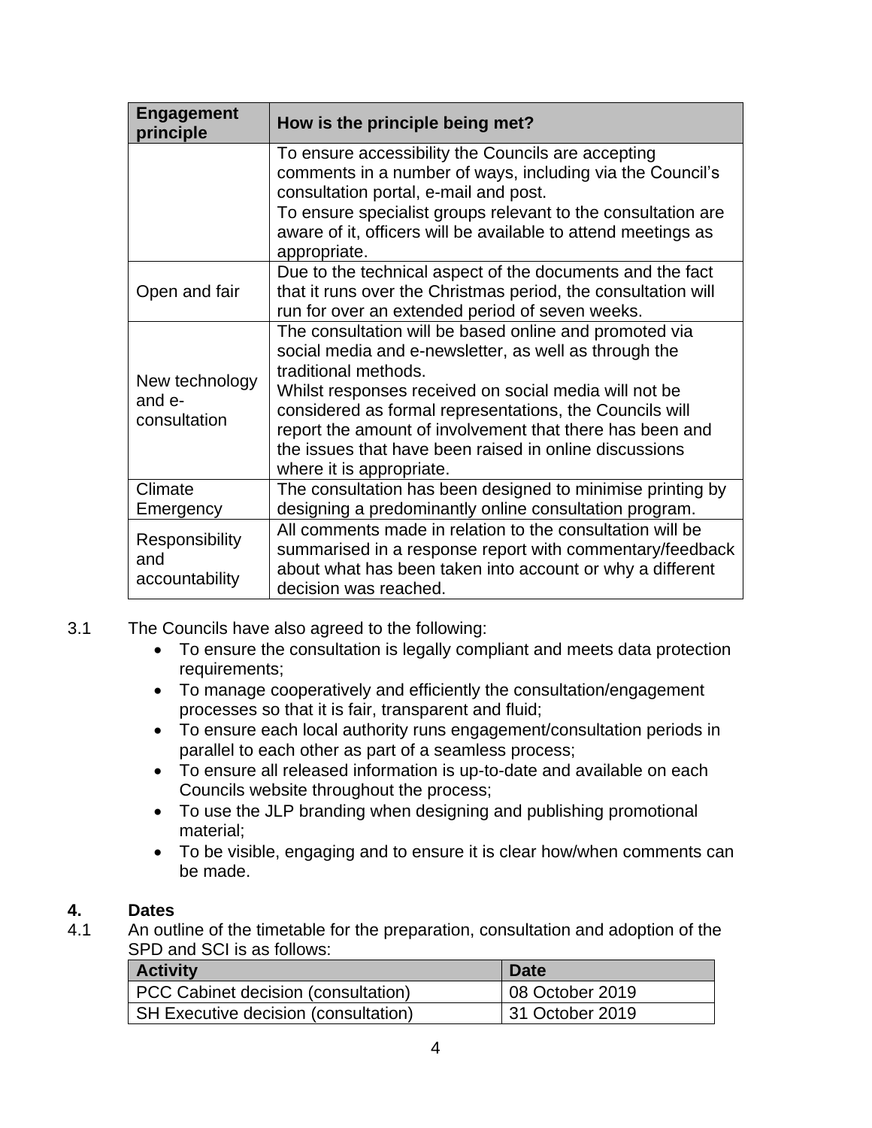| <b>Engagement</b><br>principle           | How is the principle being met?                                                                                                                                                                                                                                                                                                                                                                               |  |
|------------------------------------------|---------------------------------------------------------------------------------------------------------------------------------------------------------------------------------------------------------------------------------------------------------------------------------------------------------------------------------------------------------------------------------------------------------------|--|
|                                          | To ensure accessibility the Councils are accepting<br>comments in a number of ways, including via the Council's<br>consultation portal, e-mail and post.<br>To ensure specialist groups relevant to the consultation are<br>aware of it, officers will be available to attend meetings as<br>appropriate.                                                                                                     |  |
| Open and fair                            | Due to the technical aspect of the documents and the fact<br>that it runs over the Christmas period, the consultation will<br>run for over an extended period of seven weeks.                                                                                                                                                                                                                                 |  |
| New technology<br>and e-<br>consultation | The consultation will be based online and promoted via<br>social media and e-newsletter, as well as through the<br>traditional methods.<br>Whilst responses received on social media will not be<br>considered as formal representations, the Councils will<br>report the amount of involvement that there has been and<br>the issues that have been raised in online discussions<br>where it is appropriate. |  |
| Climate<br>Emergency                     | The consultation has been designed to minimise printing by<br>designing a predominantly online consultation program.                                                                                                                                                                                                                                                                                          |  |
| Responsibility<br>and<br>accountability  | All comments made in relation to the consultation will be<br>summarised in a response report with commentary/feedback<br>about what has been taken into account or why a different<br>decision was reached.                                                                                                                                                                                                   |  |

- 3.1 The Councils have also agreed to the following:
	- To ensure the consultation is legally compliant and meets data protection requirements;
	- To manage cooperatively and efficiently the consultation/engagement processes so that it is fair, transparent and fluid;
	- To ensure each local authority runs engagement/consultation periods in parallel to each other as part of a seamless process;
	- To ensure all released information is up-to-date and available on each Councils website throughout the process;
	- To use the JLP branding when designing and publishing promotional material;
	- To be visible, engaging and to ensure it is clear how/when comments can be made.

## **4. Dates**

4.1 An outline of the timetable for the preparation, consultation and adoption of the SPD and SCI is as follows:

| <b>Activity</b>                             | <b>Date</b>     |
|---------------------------------------------|-----------------|
| PCC Cabinet decision (consultation)         | 08 October 2019 |
| <b>SH Executive decision (consultation)</b> | 31 October 2019 |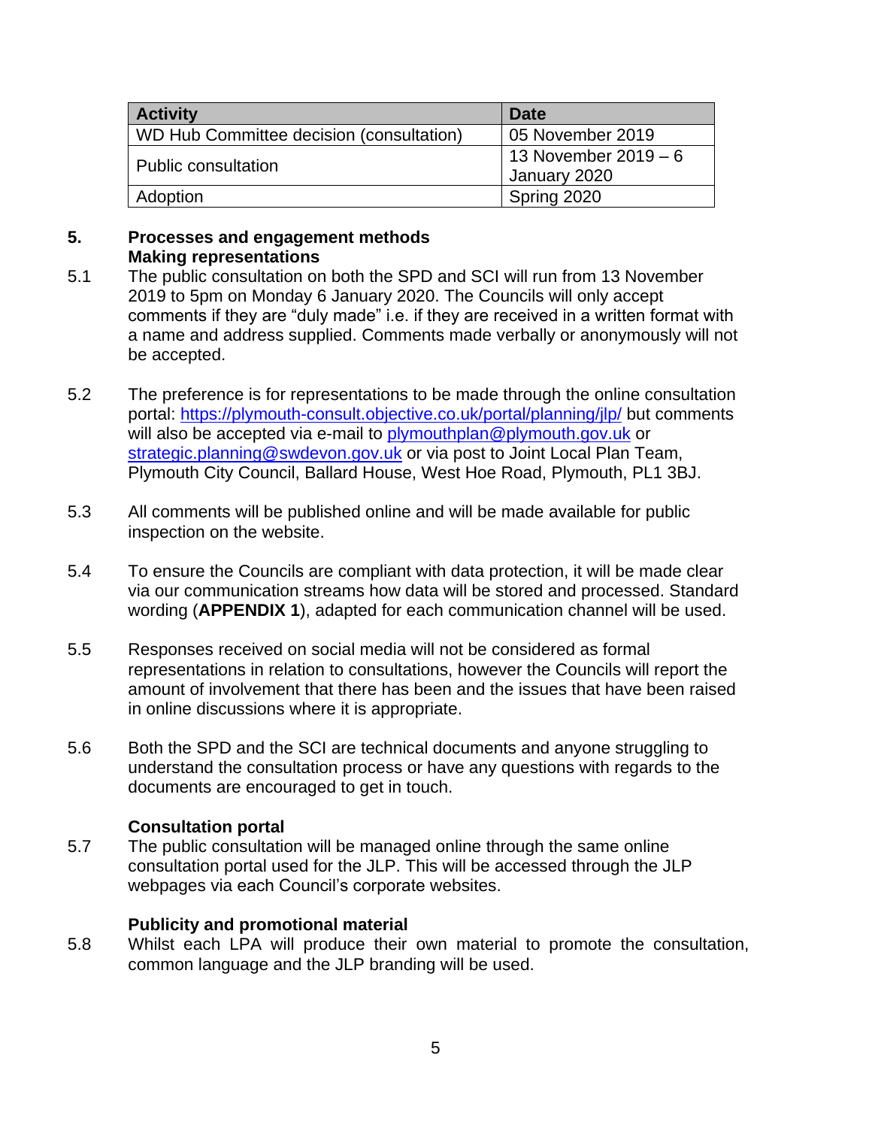| <b>Activity</b>                          | Date                   |
|------------------------------------------|------------------------|
| WD Hub Committee decision (consultation) | 05 November 2019       |
| <b>Public consultation</b>               | 13 November $2019 - 6$ |
|                                          | January 2020           |
| Adoption                                 | Spring 2020            |

#### **5. Processes and engagement methods Making representations**

- 5.1 The public consultation on both the SPD and SCI will run from 13 November 2019 to 5pm on Monday 6 January 2020. The Councils will only accept comments if they are "duly made" i.e. if they are received in a written format with a name and address supplied. Comments made verbally or anonymously will not be accepted.
- 5.2 The preference is for representations to be made through the online consultation portal:<https://plymouth-consult.objective.co.uk/portal/planning/jlp/> but comments will also be accepted via e-mail to [plymouthplan@plymouth.gov.uk](mailto:plymouthplan@plymouth.gov.uk) or [strategic.planning@swdevon.gov.uk](mailto:strategic.planning@swdevon.gov.uk) or via post to Joint Local Plan Team, Plymouth City Council, Ballard House, West Hoe Road, Plymouth, PL1 3BJ.
- 5.3 All comments will be published online and will be made available for public inspection on the website.
- 5.4 To ensure the Councils are compliant with data protection, it will be made clear via our communication streams how data will be stored and processed. Standard wording (**APPENDIX 1**), adapted for each communication channel will be used.
- 5.5 Responses received on social media will not be considered as formal representations in relation to consultations, however the Councils will report the amount of involvement that there has been and the issues that have been raised in online discussions where it is appropriate.
- 5.6 Both the SPD and the SCI are technical documents and anyone struggling to understand the consultation process or have any questions with regards to the documents are encouraged to get in touch.

## **Consultation portal**

5.7 The public consultation will be managed online through the same online consultation portal used for the JLP. This will be accessed through the JLP webpages via each Council's corporate websites.

## **Publicity and promotional material**

5.8 Whilst each LPA will produce their own material to promote the consultation, common language and the JLP branding will be used.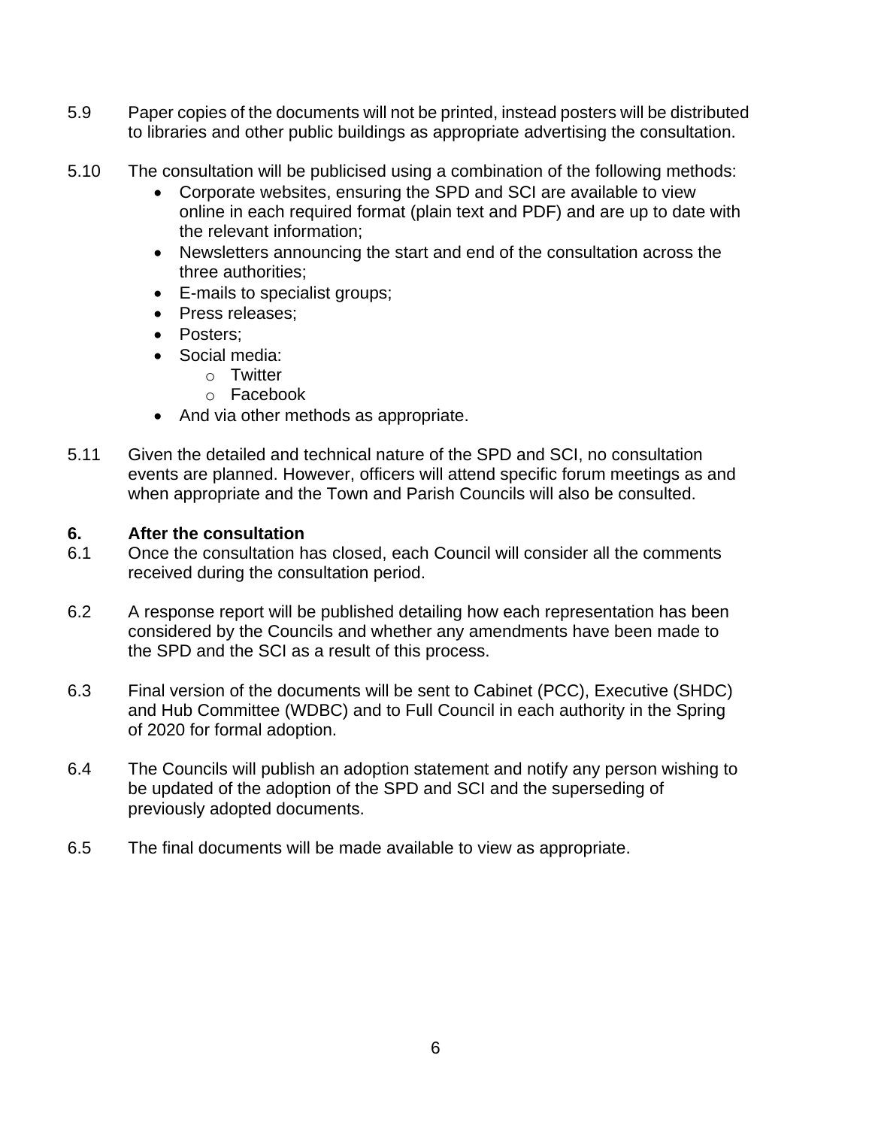- 5.9 Paper copies of the documents will not be printed, instead posters will be distributed to libraries and other public buildings as appropriate advertising the consultation.
- 5.10 The consultation will be publicised using a combination of the following methods:
	- Corporate websites, ensuring the SPD and SCI are available to view online in each required format (plain text and PDF) and are up to date with the relevant information;
	- Newsletters announcing the start and end of the consultation across the three authorities;
	- E-mails to specialist groups;
	- Press releases;
	- Posters:
	- Social media:
		- o Twitter
		- o Facebook
	- And via other methods as appropriate.
- 5.11 Given the detailed and technical nature of the SPD and SCI, no consultation events are planned. However, officers will attend specific forum meetings as and when appropriate and the Town and Parish Councils will also be consulted.

## **6. After the consultation**

- 6.1 Once the consultation has closed, each Council will consider all the comments received during the consultation period.
- 6.2 A response report will be published detailing how each representation has been considered by the Councils and whether any amendments have been made to the SPD and the SCI as a result of this process.
- 6.3 Final version of the documents will be sent to Cabinet (PCC), Executive (SHDC) and Hub Committee (WDBC) and to Full Council in each authority in the Spring of 2020 for formal adoption.
- 6.4 The Councils will publish an adoption statement and notify any person wishing to be updated of the adoption of the SPD and SCI and the superseding of previously adopted documents.
- 6.5 The final documents will be made available to view as appropriate.